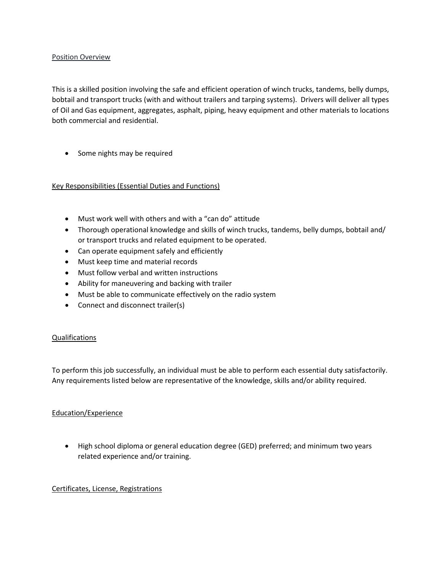### Position Overview

This is a skilled position involving the safe and efficient operation of winch trucks, tandems, belly dumps, bobtail and transport trucks (with and without trailers and tarping systems). Drivers will deliver all types of Oil and Gas equipment, aggregates, asphalt, piping, heavy equipment and other materials to locations both commercial and residential.

• Some nights may be required

# Key Responsibilities (Essential Duties and Functions)

- Must work well with others and with a "can do" attitude
- Thorough operational knowledge and skills of winch trucks, tandems, belly dumps, bobtail and/ or transport trucks and related equipment to be operated.
- Can operate equipment safely and efficiently
- Must keep time and material records
- Must follow verbal and written instructions
- Ability for maneuvering and backing with trailer
- Must be able to communicate effectively on the radio system
- Connect and disconnect trailer(s)

### Qualifications

To perform this job successfully, an individual must be able to perform each essential duty satisfactorily. Any requirements listed below are representative of the knowledge, skills and/or ability required.

### Education/Experience

• High school diploma or general education degree (GED) preferred; and minimum two years related experience and/or training.

### Certificates, License, Registrations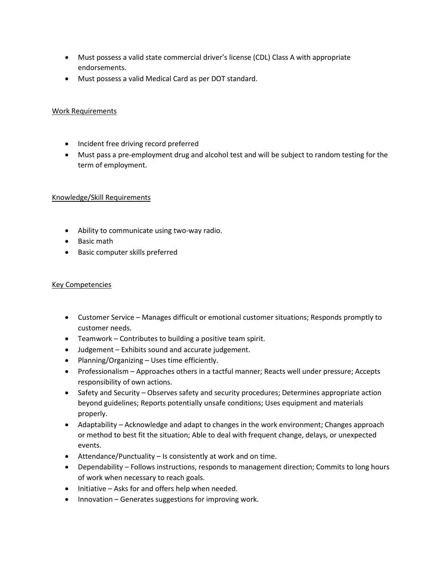- Must possess a valid state commercial driver's license (CDL) Class A with appropriate endorsements.
- Must possess a valid Medical Card as per DOT standard.

### Work Requirements

- Incident free driving record preferred
- Must pass a pre-employment drug and alcohol test and will be subject to random testing for the term of employment.

### Knowledge/Skill Requirements

- Ability to communicate using two-way radio.
- Basic math
- Basic computer skills preferred

# Key Competencies

- Customer Service Manages difficult or emotional customer situations; Responds promptly to customer needs.
- Teamwork Contributes to building a positive team spirit.
- Judgement Exhibits sound and accurate judgement.
- Planning/Organizing Uses time efficiently.
- Professionalism Approaches others in a tactful manner; Reacts well under pressure; Accepts responsibility of own actions.
- Safety and Security Observes safety and security procedures; Determines appropriate action beyond guidelines; Reports potentially unsafe conditions; Uses equipment and materials properly.
- Adaptability Acknowledge and adapt to changes in the work environment; Changes approach or method to best fit the situation; Able to deal with frequent change, delays, or unexpected events.
- Attendance/Punctuality Is consistently at work and on time.
- Dependability Follows instructions, responds to management direction; Commits to long hours of work when necessary to reach goals.
- Initiative Asks for and offers help when needed.
- Innovation Generates suggestions for improving work.